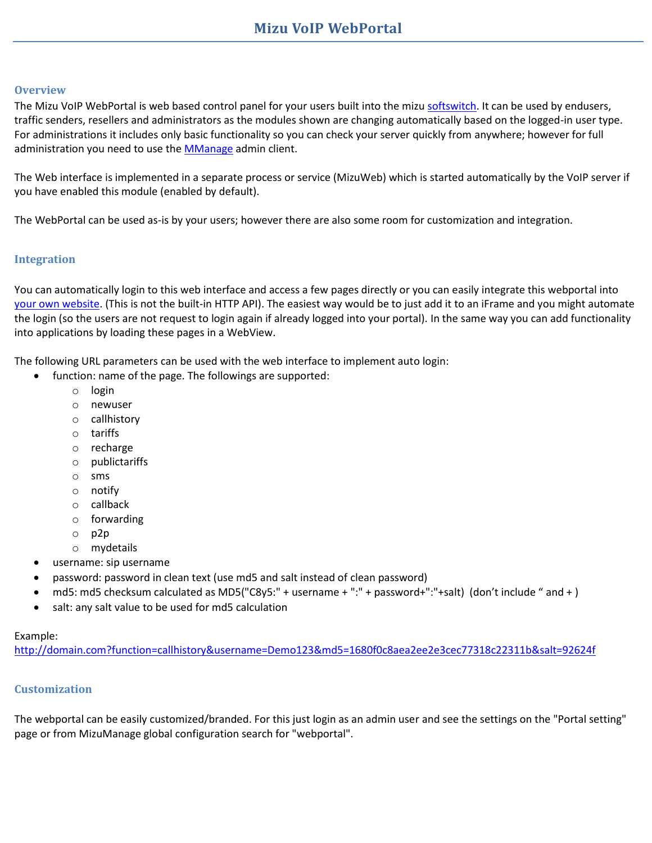## **Overview**

The Mizu VoIP WebPortal is web based control panel for your users built into the miz[u softswitch.](https://www.mizu-voip.com/Software/VoIPServer.aspx) It can be used by endusers, traffic senders, resellers and administrators as the modules shown are changing automatically based on the logged-in user type. For administrations it includes only basic functionality so you can check your server quickly from anywhere; however for full administration you need to use the [MManage](https://www.mizu-voip.com/Portals/0/Files/MizuManagement_Setup.exe) admin client.

The Web interface is implemented in a separate process or service (MizuWeb) which is started automatically by the VoIP server if you have enabled this module (enabled by default).

The WebPortal can be used as-is by your users; however there are also some room for customization and integration.

## **Integration**

You can automatically login to this web interface and access a few pages directly or you can easily integrate this webportal into [your own](https://www.mizu-voip.com/Portals/0/Files/VoIP_WebSite.pdf) website. (This is not the built-in HTTP API). The easiest way would be to just add it to an iFrame and you might automate the login (so the users are not request to login again if already logged into your portal). In the same way you can add functionality into applications by loading these pages in a WebView.

The following URL parameters can be used with the web interface to implement auto login:

- function: name of the page. The followings are supported:
	- o login
	- o newuser
	- o callhistory
	- o tariffs
	- o recharge
	- o publictariffs
	- o sms
	- o notify
	- o callback
	- o forwarding
	- o p2p
	- o mydetails
	- username: sip username
	- password: password in clean text (use md5 and salt instead of clean password)
	- md5: md5 checksum calculated as MD5("C8y5:" + username + ":" + password+":"+salt) (don't include " and + )
	- salt: any salt value to be used for md5 calculation

## Example:

[http://domain.com?function=callhistory&username=Demo123&md5=1680f0c8aea2ee2e3cec77318c22311b&salt=92624f](http://domain.com/?function=callhistory&username=Demo123&md5=1680f0c8aea2ee2e3cec77318c22311b&salt=92624f)

## **Customization**

The webportal can be easily customized/branded. For this just login as an admin user and see the settings on the "Portal setting" page or from MizuManage global configuration search for "webportal".